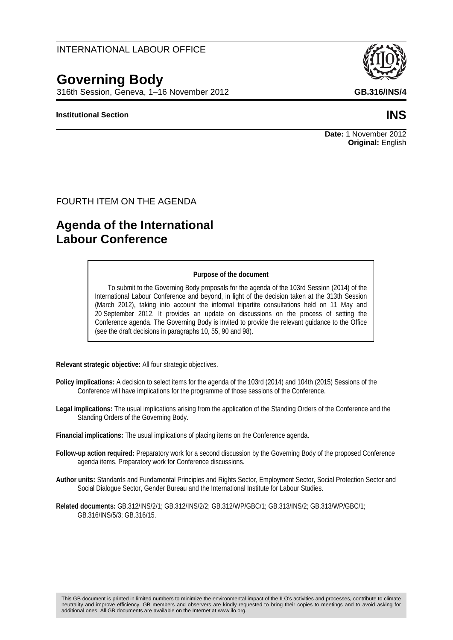## INTERNATIONAL LABOUR OFFICE

# **Governing Body**

316th Session, Geneva, 1–16 November 2012 **GB.316/INS/4**

#### **Institutional Section INS**

#### FOURTH ITEM ON THE AGENDA

# **Agenda of the International Labour Conference**

#### **Purpose of the document**

To submit to the Governing Body proposals for the agenda of the 103rd Session (2014) of the International Labour Conference and beyond, in light of the decision taken at the 313th Session (March 2012), taking into account the informal tripartite consultations held on 11 May and 20 September 2012. It provides an update on discussions on the process of setting the Conference agenda. The Governing Body is invited to provide the relevant guidance to the Office (see the draft decisions in paragraphs 10, 55, 90 and 98).

**Relevant strategic objective:** All four strategic objectives.

- **Policy implications:** A decision to select items for the agenda of the 103rd (2014) and 104th (2015) Sessions of the Conference will have implications for the programme of those sessions of the Conference.
- **Legal implications:** The usual implications arising from the application of the Standing Orders of the Conference and the Standing Orders of the Governing Body.

**Financial implications:** The usual implications of placing items on the Conference agenda.

- **Follow-up action required:** Preparatory work for a second discussion by the Governing Body of the proposed Conference agenda items. Preparatory work for Conference discussions.
- **Author units:** Standards and Fundamental Principles and Rights Sector, Employment Sector, Social Protection Sector and Social Dialogue Sector, Gender Bureau and the International Institute for Labour Studies.
- **Related documents:** GB.312/INS/2/1; GB.312/INS/2/2; GB.312/WP/GBC/1; GB.313/INS/2; GB.313/WP/GBC/1; GB.316/INS/5/3; GB.316/15.

**Date:** 1 November 2012 **Original:** English

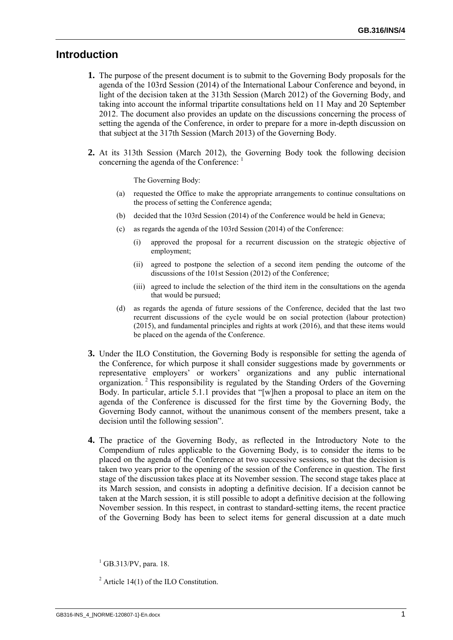## **Introduction**

- **1.** The purpose of the present document is to submit to the Governing Body proposals for the agenda of the 103rd Session (2014) of the International Labour Conference and beyond, in light of the decision taken at the 313th Session (March 2012) of the Governing Body, and taking into account the informal tripartite consultations held on 11 May and 20 September 2012. The document also provides an update on the discussions concerning the process of setting the agenda of the Conference, in order to prepare for a more in-depth discussion on that subject at the 317th Session (March 2013) of the Governing Body.
- **2.** At its 313th Session (March 2012), the Governing Body took the following decision concerning the agenda of the Conference:

The Governing Body:

- (a) requested the Office to make the appropriate arrangements to continue consultations on the process of setting the Conference agenda;
- (b) decided that the 103rd Session (2014) of the Conference would be held in Geneva;
- (c) as regards the agenda of the 103rd Session (2014) of the Conference:
	- (i) approved the proposal for a recurrent discussion on the strategic objective of employment;
	- (ii) agreed to postpone the selection of a second item pending the outcome of the discussions of the 101st Session (2012) of the Conference;
	- (iii) agreed to include the selection of the third item in the consultations on the agenda that would be pursued;
- (d) as regards the agenda of future sessions of the Conference, decided that the last two recurrent discussions of the cycle would be on social protection (labour protection) (2015), and fundamental principles and rights at work (2016), and that these items would be placed on the agenda of the Conference.
- **3.** Under the ILO Constitution, the Governing Body is responsible for setting the agenda of the Conference, for which purpose it shall consider suggestions made by governments or representative employers' or workers' organizations and any public international organization.<sup>2</sup> This responsibility is regulated by the Standing Orders of the Governing Body. In particular, article 5.1.1 provides that "[w]hen a proposal to place an item on the agenda of the Conference is discussed for the first time by the Governing Body, the Governing Body cannot, without the unanimous consent of the members present, take a decision until the following session".
- **4.** The practice of the Governing Body, as reflected in the Introductory Note to the Compendium of rules applicable to the Governing Body, is to consider the items to be placed on the agenda of the Conference at two successive sessions, so that the decision is taken two years prior to the opening of the session of the Conference in question. The first stage of the discussion takes place at its November session. The second stage takes place at its March session, and consists in adopting a definitive decision. If a decision cannot be taken at the March session, it is still possible to adopt a definitive decision at the following November session. In this respect, in contrast to standard-setting items, the recent practice of the Governing Body has been to select items for general discussion at a date much

 $^{1}$  GB.313/PV, para. 18.

<sup>&</sup>lt;sup>2</sup> Article 14(1) of the ILO Constitution.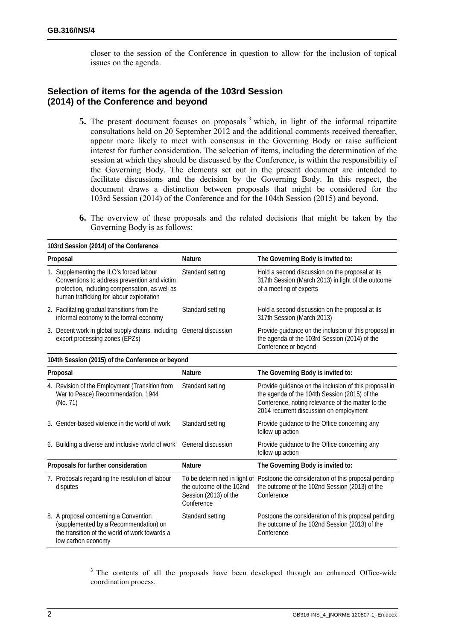closer to the session of the Conference in question to allow for the inclusion of topical issues on the agenda.

#### **Selection of items for the agenda of the 103rd Session (2014) of the Conference and beyond**

- **5.** The present document focuses on proposals <sup>3</sup> which, in light of the informal tripartite consultations held on 20 September 2012 and the additional comments received thereafter, appear more likely to meet with consensus in the Governing Body or raise sufficient interest for further consideration. The selection of items, including the determination of the session at which they should be discussed by the Conference, is within the responsibility of the Governing Body. The elements set out in the present document are intended to facilitate discussions and the decision by the Governing Body. In this respect, the document draws a distinction between proposals that might be considered for the 103rd Session (2014) of the Conference and for the 104th Session (2015) and beyond.
- **6.** The overview of these proposals and the related decisions that might be taken by the Governing Body is as follows:

|                                     | 103rd Session (2014) of the Conference                                                                                                                                                  |                                                                                                 |                                                                                                                                                                                                        |
|-------------------------------------|-----------------------------------------------------------------------------------------------------------------------------------------------------------------------------------------|-------------------------------------------------------------------------------------------------|--------------------------------------------------------------------------------------------------------------------------------------------------------------------------------------------------------|
| Proposal                            |                                                                                                                                                                                         | <b>Nature</b>                                                                                   | The Governing Body is invited to:                                                                                                                                                                      |
|                                     | 1. Supplementing the ILO's forced labour<br>Conventions to address prevention and victim<br>protection, including compensation, as well as<br>human trafficking for labour exploitation | Standard setting                                                                                | Hold a second discussion on the proposal at its<br>317th Session (March 2013) in light of the outcome<br>of a meeting of experts                                                                       |
|                                     | 2. Facilitating gradual transitions from the<br>informal economy to the formal economy                                                                                                  | Standard setting                                                                                | Hold a second discussion on the proposal at its<br>317th Session (March 2013)                                                                                                                          |
|                                     | 3. Decent work in global supply chains, including<br>export processing zones (EPZs)                                                                                                     | General discussion                                                                              | Provide guidance on the inclusion of this proposal in<br>the agenda of the 103rd Session (2014) of the<br>Conference or beyond                                                                         |
|                                     | 104th Session (2015) of the Conference or beyond                                                                                                                                        |                                                                                                 |                                                                                                                                                                                                        |
| Proposal                            |                                                                                                                                                                                         | <b>Nature</b>                                                                                   | The Governing Body is invited to:                                                                                                                                                                      |
|                                     | 4. Revision of the Employment (Transition from<br>War to Peace) Recommendation, 1944<br>(No. 71)                                                                                        | Standard setting                                                                                | Provide guidance on the inclusion of this proposal in<br>the agenda of the 104th Session (2015) of the<br>Conference, noting relevance of the matter to the<br>2014 recurrent discussion on employment |
|                                     | 5. Gender-based violence in the world of work                                                                                                                                           | Standard setting                                                                                | Provide guidance to the Office concerning any<br>follow-up action                                                                                                                                      |
|                                     | 6. Building a diverse and inclusive world of work                                                                                                                                       | General discussion                                                                              | Provide guidance to the Office concerning any<br>follow-up action                                                                                                                                      |
| Proposals for further consideration |                                                                                                                                                                                         | <b>Nature</b>                                                                                   | The Governing Body is invited to:                                                                                                                                                                      |
|                                     | 7. Proposals regarding the resolution of labour<br>disputes                                                                                                                             | To be determined in light of<br>the outcome of the 102nd<br>Session (2013) of the<br>Conference | Postpone the consideration of this proposal pending<br>the outcome of the 102nd Session (2013) of the<br>Conference                                                                                    |
|                                     | 8. A proposal concerning a Convention<br>(supplemented by a Recommendation) on<br>the transition of the world of work towards a<br>low carbon economy                                   | Standard setting                                                                                | Postpone the consideration of this proposal pending<br>the outcome of the 102nd Session (2013) of the<br>Conference                                                                                    |

<sup>3</sup> The contents of all the proposals have been developed through an enhanced Office-wide coordination process.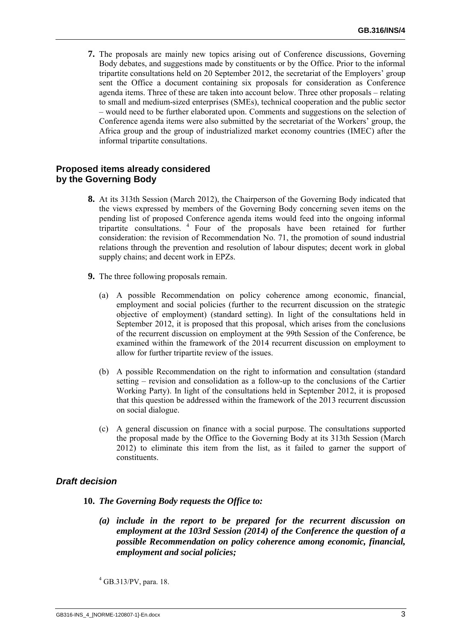**7.** The proposals are mainly new topics arising out of Conference discussions, Governing Body debates, and suggestions made by constituents or by the Office. Prior to the informal tripartite consultations held on 20 September 2012, the secretariat of the Employers' group sent the Office a document containing six proposals for consideration as Conference agenda items. Three of these are taken into account below. Three other proposals – relating to small and medium-sized enterprises (SMEs), technical cooperation and the public sector – would need to be further elaborated upon. Comments and suggestions on the selection of Conference agenda items were also submitted by the secretariat of the Workers' group, the Africa group and the group of industrialized market economy countries (IMEC) after the informal tripartite consultations.

#### **Proposed items already considered by the Governing Body**

- **8.** At its 313th Session (March 2012), the Chairperson of the Governing Body indicated that the views expressed by members of the Governing Body concerning seven items on the pending list of proposed Conference agenda items would feed into the ongoing informal tripartite consultations. 4 Four of the proposals have been retained for further consideration: the revision of Recommendation No. 71, the promotion of sound industrial relations through the prevention and resolution of labour disputes; decent work in global supply chains; and decent work in EPZs.
- **9.** The three following proposals remain.
	- (a) A possible Recommendation on policy coherence among economic, financial, employment and social policies (further to the recurrent discussion on the strategic objective of employment) (standard setting). In light of the consultations held in September 2012, it is proposed that this proposal, which arises from the conclusions of the recurrent discussion on employment at the 99th Session of the Conference, be examined within the framework of the 2014 recurrent discussion on employment to allow for further tripartite review of the issues.
	- (b) A possible Recommendation on the right to information and consultation (standard setting – revision and consolidation as a follow-up to the conclusions of the Cartier Working Party). In light of the consultations held in September 2012, it is proposed that this question be addressed within the framework of the 2013 recurrent discussion on social dialogue.
	- (c) A general discussion on finance with a social purpose. The consultations supported the proposal made by the Office to the Governing Body at its 313th Session (March 2012) to eliminate this item from the list, as it failed to garner the support of constituents.

#### *Draft decision*

#### **10.** *The Governing Body requests the Office to:*

*(a) include in the report to be prepared for the recurrent discussion on employment at the 103rd Session (2014) of the Conference the question of a possible Recommendation on policy coherence among economic, financial, employment and social policies;* 

4 GB.313/PV, para. 18.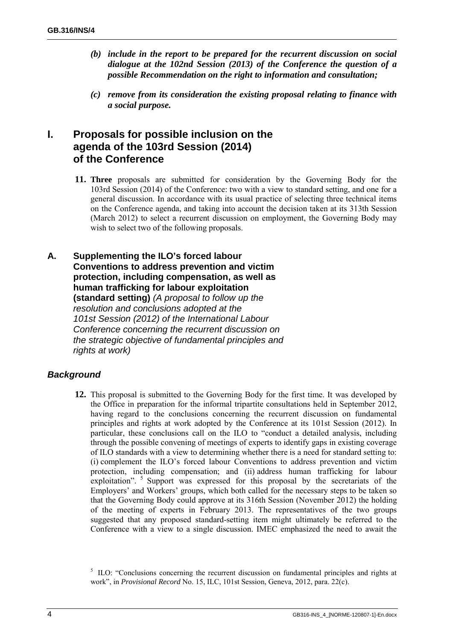- *(b) include in the report to be prepared for the recurrent discussion on social dialogue at the 102nd Session (2013) of the Conference the question of a possible Recommendation on the right to information and consultation;*
- *(c) remove from its consideration the existing proposal relating to finance with a social purpose.*

# **I. Proposals for possible inclusion on the agenda of the 103rd Session (2014) of the Conference**

- **11. Three** proposals are submitted for consideration by the Governing Body for the 103rd Session (2014) of the Conference: two with a view to standard setting, and one for a general discussion. In accordance with its usual practice of selecting three technical items on the Conference agenda, and taking into account the decision taken at its 313th Session (March 2012) to select a recurrent discussion on employment, the Governing Body may wish to select two of the following proposals.
- **A. Supplementing the ILO's forced labour Conventions to address prevention and victim protection, including compensation, as well as human trafficking for labour exploitation (standard setting)** *(A proposal to follow up the resolution and conclusions adopted at the 101st Session (2012) of the International Labour Conference concerning the recurrent discussion on the strategic objective of fundamental principles and rights at work)*

# *Background*

**12.** This proposal is submitted to the Governing Body for the first time. It was developed by the Office in preparation for the informal tripartite consultations held in September 2012, having regard to the conclusions concerning the recurrent discussion on fundamental principles and rights at work adopted by the Conference at its 101st Session (2012). In particular, these conclusions call on the ILO to "conduct a detailed analysis, including through the possible convening of meetings of experts to identify gaps in existing coverage of ILO standards with a view to determining whether there is a need for standard setting to: (i) complement the ILO's forced labour Conventions to address prevention and victim protection, including compensation; and (ii) address human trafficking for labour exploitation". <sup>5</sup> Support was expressed for this proposal by the secretariats of the Employers' and Workers' groups, which both called for the necessary steps to be taken so that the Governing Body could approve at its 316th Session (November 2012) the holding of the meeting of experts in February 2013. The representatives of the two groups suggested that any proposed standard-setting item might ultimately be referred to the Conference with a view to a single discussion. IMEC emphasized the need to await the

<sup>&</sup>lt;sup>5</sup> ILO: "Conclusions concerning the recurrent discussion on fundamental principles and rights at work", in *Provisional Record* No. 15, ILC, 101st Session, Geneva, 2012, para. 22(c).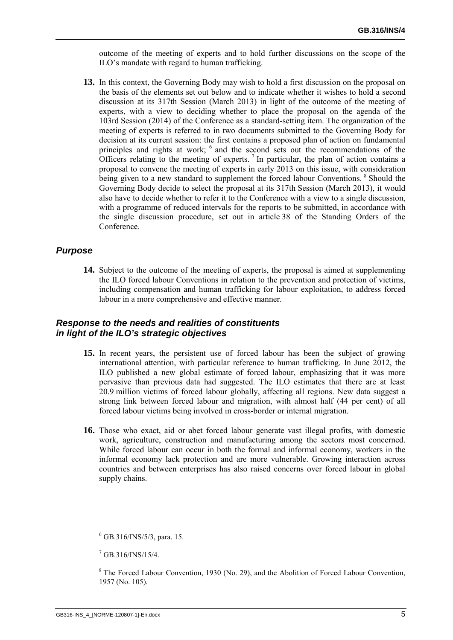outcome of the meeting of experts and to hold further discussions on the scope of the ILO's mandate with regard to human trafficking.

**13.** In this context, the Governing Body may wish to hold a first discussion on the proposal on the basis of the elements set out below and to indicate whether it wishes to hold a second discussion at its 317th Session (March 2013) in light of the outcome of the meeting of experts, with a view to deciding whether to place the proposal on the agenda of the 103rd Session (2014) of the Conference as a standard-setting item. The organization of the meeting of experts is referred to in two documents submitted to the Governing Body for decision at its current session: the first contains a proposed plan of action on fundamental principles and rights at work; <sup>6</sup> and the second sets out the recommendations of the Officers relating to the meeting of experts.<sup>7</sup> In particular, the plan of action contains a proposal to convene the meeting of experts in early 2013 on this issue, with consideration being given to a new standard to supplement the forced labour Conventions.<sup>8</sup> Should the Governing Body decide to select the proposal at its 317th Session (March 2013), it would also have to decide whether to refer it to the Conference with a view to a single discussion, with a programme of reduced intervals for the reports to be submitted, in accordance with the single discussion procedure, set out in article 38 of the Standing Orders of the Conference.

#### *Purpose*

**14.** Subject to the outcome of the meeting of experts, the proposal is aimed at supplementing the ILO forced labour Conventions in relation to the prevention and protection of victims, including compensation and human trafficking for labour exploitation, to address forced labour in a more comprehensive and effective manner.

#### *Response to the needs and realities of constituents in light of the ILO's strategic objectives*

- **15.** In recent years, the persistent use of forced labour has been the subject of growing international attention, with particular reference to human trafficking. In June 2012, the ILO published a new global estimate of forced labour, emphasizing that it was more pervasive than previous data had suggested. The ILO estimates that there are at least 20.9 million victims of forced labour globally, affecting all regions. New data suggest a strong link between forced labour and migration, with almost half (44 per cent) of all forced labour victims being involved in cross-border or internal migration.
- **16.** Those who exact, aid or abet forced labour generate vast illegal profits, with domestic work, agriculture, construction and manufacturing among the sectors most concerned. While forced labour can occur in both the formal and informal economy, workers in the informal economy lack protection and are more vulnerable. Growing interaction across countries and between enterprises has also raised concerns over forced labour in global supply chains.

<sup>6</sup> GB.316/INS/5/3, para. 15.

 $7$  GB.316/INS/15/4.

<sup>&</sup>lt;sup>8</sup> The Forced Labour Convention, 1930 (No. 29), and the Abolition of Forced Labour Convention, 1957 (No. 105).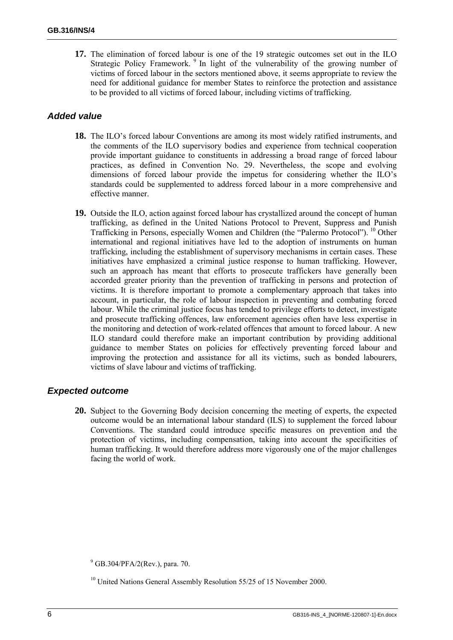**17.** The elimination of forced labour is one of the 19 strategic outcomes set out in the ILO Strategic Policy Framework.<sup>9</sup> In light of the vulnerability of the growing number of victims of forced labour in the sectors mentioned above, it seems appropriate to review the need for additional guidance for member States to reinforce the protection and assistance to be provided to all victims of forced labour, including victims of trafficking.

#### *Added value*

- **18.** The ILO's forced labour Conventions are among its most widely ratified instruments, and the comments of the ILO supervisory bodies and experience from technical cooperation provide important guidance to constituents in addressing a broad range of forced labour practices, as defined in Convention No. 29. Nevertheless, the scope and evolving dimensions of forced labour provide the impetus for considering whether the ILO's standards could be supplemented to address forced labour in a more comprehensive and effective manner.
- **19.** Outside the ILO, action against forced labour has crystallized around the concept of human trafficking, as defined in the United Nations Protocol to Prevent, Suppress and Punish Trafficking in Persons, especially Women and Children (the "Palermo Protocol"). <sup>10</sup> Other international and regional initiatives have led to the adoption of instruments on human trafficking, including the establishment of supervisory mechanisms in certain cases. These initiatives have emphasized a criminal justice response to human trafficking. However, such an approach has meant that efforts to prosecute traffickers have generally been accorded greater priority than the prevention of trafficking in persons and protection of victims. It is therefore important to promote a complementary approach that takes into account, in particular, the role of labour inspection in preventing and combating forced labour. While the criminal justice focus has tended to privilege efforts to detect, investigate and prosecute trafficking offences, law enforcement agencies often have less expertise in the monitoring and detection of work-related offences that amount to forced labour. A new ILO standard could therefore make an important contribution by providing additional guidance to member States on policies for effectively preventing forced labour and improving the protection and assistance for all its victims, such as bonded labourers, victims of slave labour and victims of trafficking.

#### *Expected outcome*

**20.** Subject to the Governing Body decision concerning the meeting of experts, the expected outcome would be an international labour standard (ILS) to supplement the forced labour Conventions. The standard could introduce specific measures on prevention and the protection of victims, including compensation, taking into account the specificities of human trafficking. It would therefore address more vigorously one of the major challenges facing the world of work.

<sup>&</sup>lt;sup>9</sup> GB.304/PFA/2(Rev.), para. 70.

<sup>&</sup>lt;sup>10</sup> United Nations General Assembly Resolution 55/25 of 15 November 2000.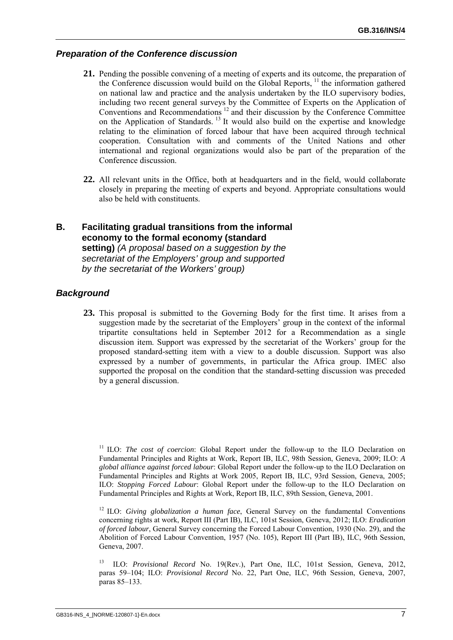#### *Preparation of the Conference discussion*

- **21.** Pending the possible convening of a meeting of experts and its outcome, the preparation of the Conference discussion would build on the Global Reports, <sup>11</sup> the information gathered on national law and practice and the analysis undertaken by the ILO supervisory bodies, including two recent general surveys by the Committee of Experts on the Application of Conventions and Recommendations 12 and their discussion by the Conference Committee on the Application of Standards. 13 It would also build on the expertise and knowledge relating to the elimination of forced labour that have been acquired through technical cooperation. Consultation with and comments of the United Nations and other international and regional organizations would also be part of the preparation of the Conference discussion.
- **22.** All relevant units in the Office, both at headquarters and in the field, would collaborate closely in preparing the meeting of experts and beyond. Appropriate consultations would also be held with constituents.

#### **B. Facilitating gradual transitions from the informal economy to the formal economy (standard setting)** *(A proposal based on a suggestion by the secretariat of the Employers' group and supported by the secretariat of the Workers' group)*

#### *Background*

**23.** This proposal is submitted to the Governing Body for the first time. It arises from a suggestion made by the secretariat of the Employers' group in the context of the informal tripartite consultations held in September 2012 for a Recommendation as a single discussion item. Support was expressed by the secretariat of the Workers' group for the proposed standard-setting item with a view to a double discussion. Support was also expressed by a number of governments, in particular the Africa group. IMEC also supported the proposal on the condition that the standard-setting discussion was preceded by a general discussion.

<sup>&</sup>lt;sup>11</sup> ILO: *The cost of coercion*: Global Report under the follow-up to the ILO Declaration on Fundamental Principles and Rights at Work, Report IB, ILC, 98th Session, Geneva, 2009; ILO: *A global alliance against forced labour*: Global Report under the follow-up to the ILO Declaration on Fundamental Principles and Rights at Work 2005, Report IB, ILC, 93rd Session, Geneva, 2005; ILO: *Stopping Forced Labour*: Global Report under the follow-up to the ILO Declaration on Fundamental Principles and Rights at Work, Report IB, ILC, 89th Session, Geneva, 2001.

<sup>&</sup>lt;sup>12</sup> ILO: *Giving globalization a human face*, General Survey on the fundamental Conventions concerning rights at work, Report III (Part IB), ILC, 101st Session, Geneva, 2012; ILO: *Eradication of forced labour*, General Survey concerning the Forced Labour Convention, 1930 (No. 29), and the Abolition of Forced Labour Convention, 1957 (No. 105), Report III (Part IB), ILC, 96th Session, Geneva, 2007.

<sup>13</sup> ILO: *Provisional Record* No. 19(Rev.), Part One, ILC, 101st Session, Geneva, 2012, paras 59–104; ILO: *Provisional Record* No. 22, Part One, ILC, 96th Session, Geneva, 2007, paras 85–133.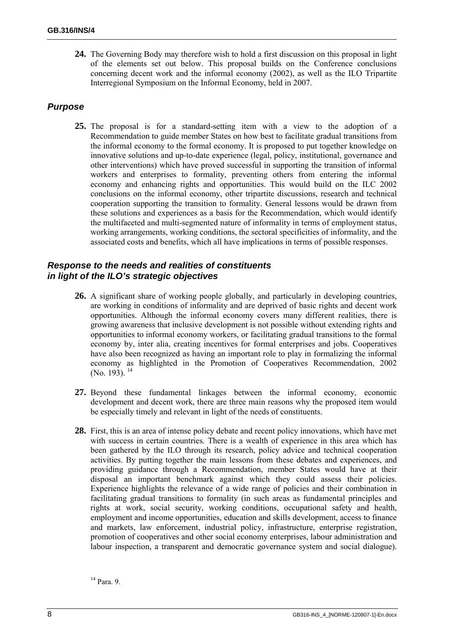**24.** The Governing Body may therefore wish to hold a first discussion on this proposal in light of the elements set out below. This proposal builds on the Conference conclusions concerning decent work and the informal economy (2002), as well as the ILO Tripartite Interregional Symposium on the Informal Economy, held in 2007.

#### *Purpose*

**25.** The proposal is for a standard-setting item with a view to the adoption of a Recommendation to guide member States on how best to facilitate gradual transitions from the informal economy to the formal economy. It is proposed to put together knowledge on innovative solutions and up-to-date experience (legal, policy, institutional, governance and other interventions) which have proved successful in supporting the transition of informal workers and enterprises to formality, preventing others from entering the informal economy and enhancing rights and opportunities. This would build on the ILC 2002 conclusions on the informal economy, other tripartite discussions, research and technical cooperation supporting the transition to formality. General lessons would be drawn from these solutions and experiences as a basis for the Recommendation, which would identify the multifaceted and multi-segmented nature of informality in terms of employment status, working arrangements, working conditions, the sectoral specificities of informality, and the associated costs and benefits, which all have implications in terms of possible responses.

#### *Response to the needs and realities of constituents in light of the ILO's strategic objectives*

- **26.** A significant share of working people globally, and particularly in developing countries, are working in conditions of informality and are deprived of basic rights and decent work opportunities. Although the informal economy covers many different realities, there is growing awareness that inclusive development is not possible without extending rights and opportunities to informal economy workers, or facilitating gradual transitions to the formal economy by, inter alia, creating incentives for formal enterprises and jobs. Cooperatives have also been recognized as having an important role to play in formalizing the informal economy as highlighted in the Promotion of Cooperatives Recommendation, 2002 (No. 193). 14
- **27.** Beyond these fundamental linkages between the informal economy, economic development and decent work, there are three main reasons why the proposed item would be especially timely and relevant in light of the needs of constituents.
- **28.** First, this is an area of intense policy debate and recent policy innovations, which have met with success in certain countries. There is a wealth of experience in this area which has been gathered by the ILO through its research, policy advice and technical cooperation activities. By putting together the main lessons from these debates and experiences, and providing guidance through a Recommendation, member States would have at their disposal an important benchmark against which they could assess their policies. Experience highlights the relevance of a wide range of policies and their combination in facilitating gradual transitions to formality (in such areas as fundamental principles and rights at work, social security, working conditions, occupational safety and health, employment and income opportunities, education and skills development, access to finance and markets, law enforcement, industrial policy, infrastructure, enterprise registration, promotion of cooperatives and other social economy enterprises, labour administration and labour inspection, a transparent and democratic governance system and social dialogue).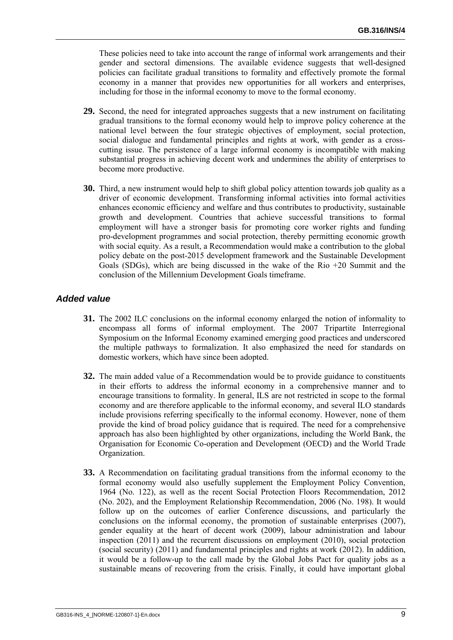These policies need to take into account the range of informal work arrangements and their gender and sectoral dimensions. The available evidence suggests that well-designed policies can facilitate gradual transitions to formality and effectively promote the formal economy in a manner that provides new opportunities for all workers and enterprises, including for those in the informal economy to move to the formal economy.

- **29.** Second, the need for integrated approaches suggests that a new instrument on facilitating gradual transitions to the formal economy would help to improve policy coherence at the national level between the four strategic objectives of employment, social protection, social dialogue and fundamental principles and rights at work, with gender as a crosscutting issue. The persistence of a large informal economy is incompatible with making substantial progress in achieving decent work and undermines the ability of enterprises to become more productive.
- **30.** Third, a new instrument would help to shift global policy attention towards job quality as a driver of economic development. Transforming informal activities into formal activities enhances economic efficiency and welfare and thus contributes to productivity, sustainable growth and development. Countries that achieve successful transitions to formal employment will have a stronger basis for promoting core worker rights and funding pro-development programmes and social protection, thereby permitting economic growth with social equity. As a result, a Recommendation would make a contribution to the global policy debate on the post-2015 development framework and the Sustainable Development Goals (SDGs), which are being discussed in the wake of the Rio +20 Summit and the conclusion of the Millennium Development Goals timeframe.

#### *Added value*

- **31.** The 2002 ILC conclusions on the informal economy enlarged the notion of informality to encompass all forms of informal employment. The 2007 Tripartite Interregional Symposium on the Informal Economy examined emerging good practices and underscored the multiple pathways to formalization. It also emphasized the need for standards on domestic workers, which have since been adopted.
- **32.** The main added value of a Recommendation would be to provide guidance to constituents in their efforts to address the informal economy in a comprehensive manner and to encourage transitions to formality. In general, ILS are not restricted in scope to the formal economy and are therefore applicable to the informal economy, and several ILO standards include provisions referring specifically to the informal economy. However, none of them provide the kind of broad policy guidance that is required. The need for a comprehensive approach has also been highlighted by other organizations, including the World Bank, the Organisation for Economic Co-operation and Development (OECD) and the World Trade Organization.
- **33.** A Recommendation on facilitating gradual transitions from the informal economy to the formal economy would also usefully supplement the Employment Policy Convention, 1964 (No. 122), as well as the recent Social Protection Floors Recommendation, 2012 (No. 202), and the Employment Relationship Recommendation, 2006 (No. 198). It would follow up on the outcomes of earlier Conference discussions, and particularly the conclusions on the informal economy, the promotion of sustainable enterprises (2007), gender equality at the heart of decent work (2009), labour administration and labour inspection (2011) and the recurrent discussions on employment (2010), social protection (social security) (2011) and fundamental principles and rights at work (2012). In addition, it would be a follow-up to the call made by the Global Jobs Pact for quality jobs as a sustainable means of recovering from the crisis. Finally, it could have important global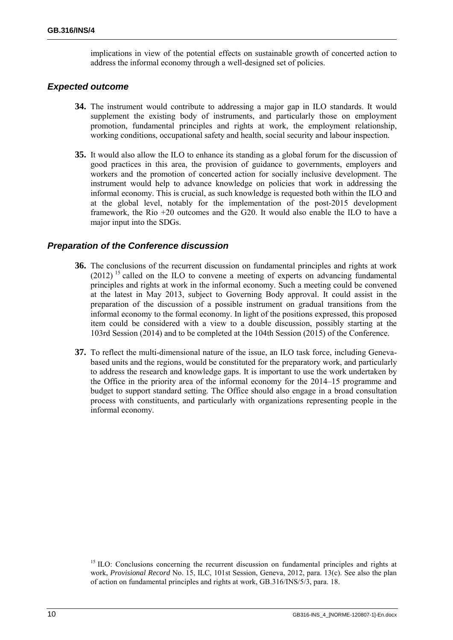implications in view of the potential effects on sustainable growth of concerted action to address the informal economy through a well-designed set of policies.

#### *Expected outcome*

- **34.** The instrument would contribute to addressing a major gap in ILO standards. It would supplement the existing body of instruments, and particularly those on employment promotion, fundamental principles and rights at work, the employment relationship, working conditions, occupational safety and health, social security and labour inspection.
- **35.** It would also allow the ILO to enhance its standing as a global forum for the discussion of good practices in this area, the provision of guidance to governments, employers and workers and the promotion of concerted action for socially inclusive development. The instrument would help to advance knowledge on policies that work in addressing the informal economy. This is crucial, as such knowledge is requested both within the ILO and at the global level, notably for the implementation of the post-2015 development framework, the Rio +20 outcomes and the G20. It would also enable the ILO to have a major input into the SDGs.

#### *Preparation of the Conference discussion*

- **36.** The conclusions of the recurrent discussion on fundamental principles and rights at work  $(2012)$ <sup>15</sup> called on the ILO to convene a meeting of experts on advancing fundamental principles and rights at work in the informal economy. Such a meeting could be convened at the latest in May 2013, subject to Governing Body approval. It could assist in the preparation of the discussion of a possible instrument on gradual transitions from the informal economy to the formal economy. In light of the positions expressed, this proposed item could be considered with a view to a double discussion, possibly starting at the 103rd Session (2014) and to be completed at the 104th Session (2015) of the Conference.
- **37.** To reflect the multi-dimensional nature of the issue, an ILO task force, including Genevabased units and the regions, would be constituted for the preparatory work, and particularly to address the research and knowledge gaps. It is important to use the work undertaken by the Office in the priority area of the informal economy for the 2014–15 programme and budget to support standard setting. The Office should also engage in a broad consultation process with constituents, and particularly with organizations representing people in the informal economy.

<sup>15</sup> ILO: Conclusions concerning the recurrent discussion on fundamental principles and rights at work, *Provisional Record* No. 15, ILC, 101st Session, Geneva, 2012, para. 13(c). See also the plan of action on fundamental principles and rights at work, GB.316/INS/5/3, para. 18.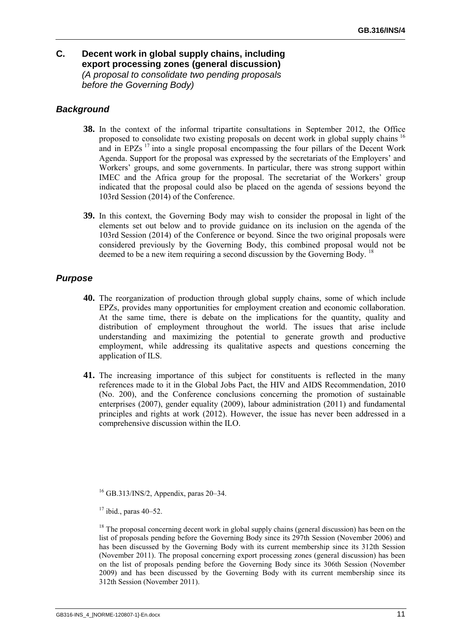### **C. Decent work in global supply chains, including export processing zones (general discussion)**  *(A proposal to consolidate two pending proposals before the Governing Body)*

### *Background*

- **38.** In the context of the informal tripartite consultations in September 2012, the Office proposed to consolidate two existing proposals on decent work in global supply chains 16 and in EPZs <sup>17</sup> into a single proposal encompassing the four pillars of the Decent Work Agenda. Support for the proposal was expressed by the secretariats of the Employers' and Workers' groups, and some governments. In particular, there was strong support within IMEC and the Africa group for the proposal. The secretariat of the Workers' group indicated that the proposal could also be placed on the agenda of sessions beyond the 103rd Session (2014) of the Conference.
- **39.** In this context, the Governing Body may wish to consider the proposal in light of the elements set out below and to provide guidance on its inclusion on the agenda of the 103rd Session (2014) of the Conference or beyond. Since the two original proposals were considered previously by the Governing Body, this combined proposal would not be deemed to be a new item requiring a second discussion by the Governing Body.<sup>18</sup>

## *Purpose*

- **40.** The reorganization of production through global supply chains, some of which include EPZs, provides many opportunities for employment creation and economic collaboration. At the same time, there is debate on the implications for the quantity, quality and distribution of employment throughout the world. The issues that arise include understanding and maximizing the potential to generate growth and productive employment, while addressing its qualitative aspects and questions concerning the application of ILS.
- **41.** The increasing importance of this subject for constituents is reflected in the many references made to it in the Global Jobs Pact, the HIV and AIDS Recommendation, 2010 (No. 200), and the Conference conclusions concerning the promotion of sustainable enterprises (2007), gender equality (2009), labour administration (2011) and fundamental principles and rights at work (2012). However, the issue has never been addressed in a comprehensive discussion within the ILO.

16 GB.313/INS/2, Appendix, paras 20–34.

 $17$  ibid., paras 40–52.

 $18$  The proposal concerning decent work in global supply chains (general discussion) has been on the list of proposals pending before the Governing Body since its 297th Session (November 2006) and has been discussed by the Governing Body with its current membership since its 312th Session (November 2011). The proposal concerning export processing zones (general discussion) has been on the list of proposals pending before the Governing Body since its 306th Session (November 2009) and has been discussed by the Governing Body with its current membership since its 312th Session (November 2011).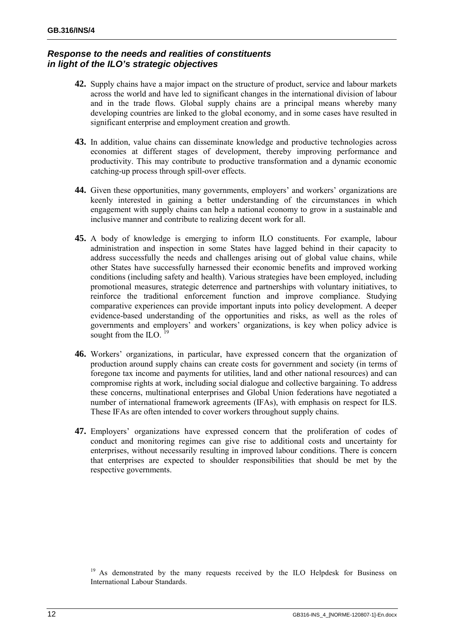### *Response to the needs and realities of constituents in light of the ILO's strategic objectives*

- **42.** Supply chains have a major impact on the structure of product, service and labour markets across the world and have led to significant changes in the international division of labour and in the trade flows. Global supply chains are a principal means whereby many developing countries are linked to the global economy, and in some cases have resulted in significant enterprise and employment creation and growth.
- **43.** In addition, value chains can disseminate knowledge and productive technologies across economies at different stages of development, thereby improving performance and productivity. This may contribute to productive transformation and a dynamic economic catching-up process through spill-over effects.
- **44.** Given these opportunities, many governments, employers' and workers' organizations are keenly interested in gaining a better understanding of the circumstances in which engagement with supply chains can help a national economy to grow in a sustainable and inclusive manner and contribute to realizing decent work for all.
- **45.** A body of knowledge is emerging to inform ILO constituents. For example, labour administration and inspection in some States have lagged behind in their capacity to address successfully the needs and challenges arising out of global value chains, while other States have successfully harnessed their economic benefits and improved working conditions (including safety and health). Various strategies have been employed, including promotional measures, strategic deterrence and partnerships with voluntary initiatives, to reinforce the traditional enforcement function and improve compliance. Studying comparative experiences can provide important inputs into policy development. A deeper evidence-based understanding of the opportunities and risks, as well as the roles of governments and employers' and workers' organizations, is key when policy advice is sought from the ILO.  $^{19}$
- **46.** Workers' organizations, in particular, have expressed concern that the organization of production around supply chains can create costs for government and society (in terms of foregone tax income and payments for utilities, land and other national resources) and can compromise rights at work, including social dialogue and collective bargaining. To address these concerns, multinational enterprises and Global Union federations have negotiated a number of international framework agreements (IFAs), with emphasis on respect for ILS. These IFAs are often intended to cover workers throughout supply chains.
- **47.** Employers' organizations have expressed concern that the proliferation of codes of conduct and monitoring regimes can give rise to additional costs and uncertainty for enterprises, without necessarily resulting in improved labour conditions. There is concern that enterprises are expected to shoulder responsibilities that should be met by the respective governments.

<sup>&</sup>lt;sup>19</sup> As demonstrated by the many requests received by the ILO Helpdesk for Business on International Labour Standards.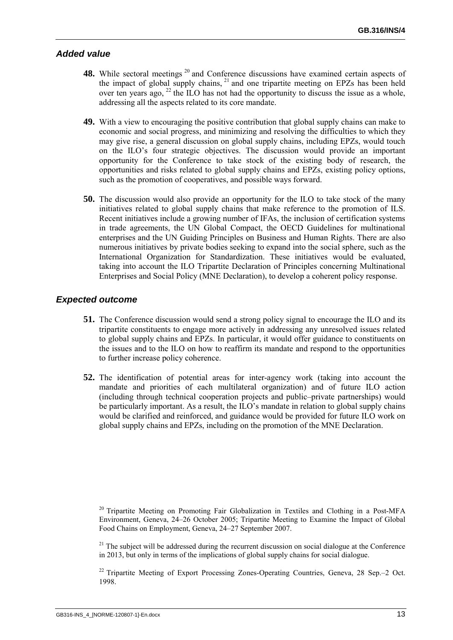#### *Added value*

- 48. While sectoral meetings<sup>20</sup> and Conference discussions have examined certain aspects of the impact of global supply chains, <sup>21</sup> and one tripartite meeting on EPZs has been held over ten years ago,  $^{22}$  the ILO has not had the opportunity to discuss the issue as a whole, addressing all the aspects related to its core mandate.
- **49.** With a view to encouraging the positive contribution that global supply chains can make to economic and social progress, and minimizing and resolving the difficulties to which they may give rise, a general discussion on global supply chains, including EPZs, would touch on the ILO's four strategic objectives. The discussion would provide an important opportunity for the Conference to take stock of the existing body of research, the opportunities and risks related to global supply chains and EPZs, existing policy options, such as the promotion of cooperatives, and possible ways forward.
- **50.** The discussion would also provide an opportunity for the ILO to take stock of the many initiatives related to global supply chains that make reference to the promotion of ILS. Recent initiatives include a growing number of IFAs, the inclusion of certification systems in trade agreements, the UN Global Compact, the OECD Guidelines for multinational enterprises and the UN Guiding Principles on Business and Human Rights. There are also numerous initiatives by private bodies seeking to expand into the social sphere, such as the International Organization for Standardization. These initiatives would be evaluated, taking into account the ILO Tripartite Declaration of Principles concerning Multinational Enterprises and Social Policy (MNE Declaration), to develop a coherent policy response.

#### *Expected outcome*

- **51.** The Conference discussion would send a strong policy signal to encourage the ILO and its tripartite constituents to engage more actively in addressing any unresolved issues related to global supply chains and EPZs. In particular, it would offer guidance to constituents on the issues and to the ILO on how to reaffirm its mandate and respond to the opportunities to further increase policy coherence.
- **52.** The identification of potential areas for inter-agency work (taking into account the mandate and priorities of each multilateral organization) and of future ILO action (including through technical cooperation projects and public–private partnerships) would be particularly important. As a result, the ILO's mandate in relation to global supply chains would be clarified and reinforced, and guidance would be provided for future ILO work on global supply chains and EPZs, including on the promotion of the MNE Declaration.

<sup>20</sup> Tripartite Meeting on Promoting Fair Globalization in Textiles and Clothing in a Post-MFA Environment, Geneva, 24–26 October 2005; Tripartite Meeting to Examine the Impact of Global Food Chains on Employment, Geneva, 24–27 September 2007.

 $2<sup>1</sup>$  The subject will be addressed during the recurrent discussion on social dialogue at the Conference in 2013, but only in terms of the implications of global supply chains for social dialogue.

<sup>22</sup> Tripartite Meeting of Export Processing Zones-Operating Countries, Geneva, 28 Sep.–2 Oct. 1998.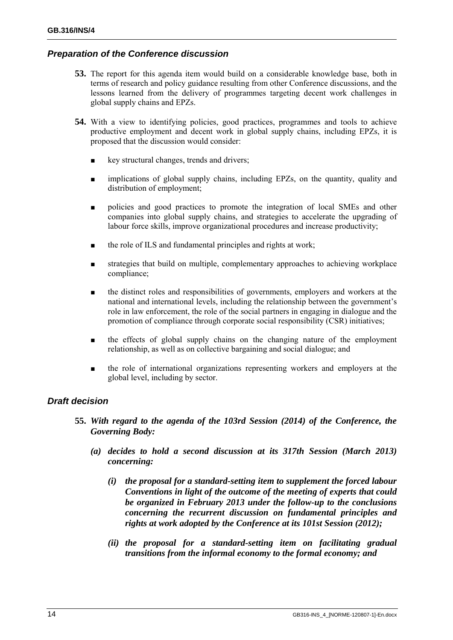#### *Preparation of the Conference discussion*

- **53.** The report for this agenda item would build on a considerable knowledge base, both in terms of research and policy guidance resulting from other Conference discussions, and the lessons learned from the delivery of programmes targeting decent work challenges in global supply chains and EPZs.
- **54.** With a view to identifying policies, good practices, programmes and tools to achieve productive employment and decent work in global supply chains, including EPZs, it is proposed that the discussion would consider:
	- key structural changes, trends and drivers;
	- implications of global supply chains, including EPZs, on the quantity, quality and distribution of employment;
	- policies and good practices to promote the integration of local SMEs and other companies into global supply chains, and strategies to accelerate the upgrading of labour force skills, improve organizational procedures and increase productivity;
	- the role of ILS and fundamental principles and rights at work;
	- strategies that build on multiple, complementary approaches to achieving workplace compliance;
	- the distinct roles and responsibilities of governments, employers and workers at the national and international levels, including the relationship between the government's role in law enforcement, the role of the social partners in engaging in dialogue and the promotion of compliance through corporate social responsibility (CSR) initiatives;
	- the effects of global supply chains on the changing nature of the employment relationship, as well as on collective bargaining and social dialogue; and
	- the role of international organizations representing workers and employers at the global level, including by sector.

#### *Draft decision*

- **55.** *With regard to the agenda of the 103rd Session (2014) of the Conference, the Governing Body:* 
	- *(a) decides to hold a second discussion at its 317th Session (March 2013) concerning:* 
		- *(i) the proposal for a standard-setting item to supplement the forced labour Conventions in light of the outcome of the meeting of experts that could be organized in February 2013 under the follow-up to the conclusions concerning the recurrent discussion on fundamental principles and rights at work adopted by the Conference at its 101st Session (2012);*
		- *(ii) the proposal for a standard-setting item on facilitating gradual transitions from the informal economy to the formal economy; and*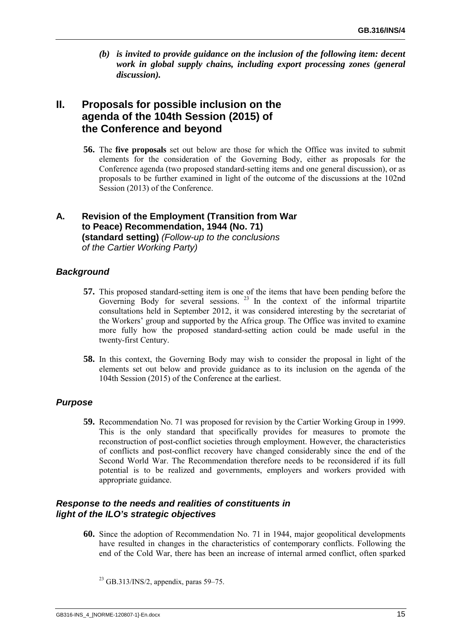*(b) is invited to provide guidance on the inclusion of the following item: decent work in global supply chains, including export processing zones (general discussion).* 

# **II. Proposals for possible inclusion on the agenda of the 104th Session (2015) of the Conference and beyond**

**56.** The **five proposals** set out below are those for which the Office was invited to submit elements for the consideration of the Governing Body, either as proposals for the Conference agenda (two proposed standard-setting items and one general discussion), or as proposals to be further examined in light of the outcome of the discussions at the 102nd Session (2013) of the Conference.

### **A. Revision of the Employment (Transition from War to Peace) Recommendation, 1944 (No. 71) (standard setting)** *(Follow-up to the conclusions of the Cartier Working Party)*

#### *Background*

- **57.** This proposed standard-setting item is one of the items that have been pending before the Governing Body for several sessions.  $^{23}$  In the context of the informal tripartite consultations held in September 2012, it was considered interesting by the secretariat of the Workers' group and supported by the Africa group. The Office was invited to examine more fully how the proposed standard-setting action could be made useful in the twenty-first Century.
- **58.** In this context, the Governing Body may wish to consider the proposal in light of the elements set out below and provide guidance as to its inclusion on the agenda of the 104th Session (2015) of the Conference at the earliest.

#### *Purpose*

**59.** Recommendation No. 71 was proposed for revision by the Cartier Working Group in 1999. This is the only standard that specifically provides for measures to promote the reconstruction of post-conflict societies through employment. However, the characteristics of conflicts and post-conflict recovery have changed considerably since the end of the Second World War. The Recommendation therefore needs to be reconsidered if its full potential is to be realized and governments, employers and workers provided with appropriate guidance.

#### *Response to the needs and realities of constituents in light of the ILO's strategic objectives*

**60.** Since the adoption of Recommendation No. 71 in 1944, major geopolitical developments have resulted in changes in the characteristics of contemporary conflicts. Following the end of the Cold War, there has been an increase of internal armed conflict, often sparked

 $^{23}$  GB.313/INS/2, appendix, paras 59–75.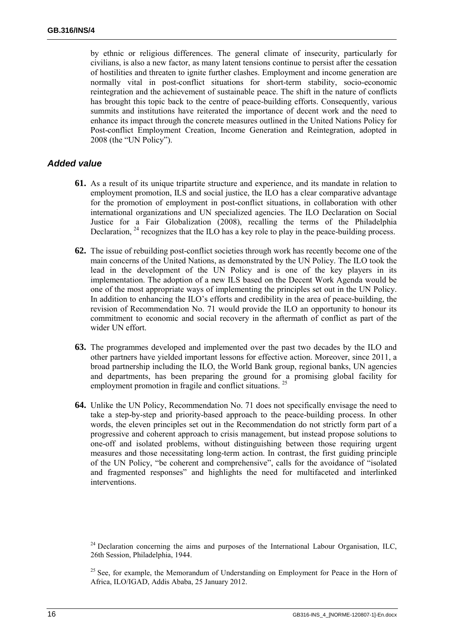by ethnic or religious differences. The general climate of insecurity, particularly for civilians, is also a new factor, as many latent tensions continue to persist after the cessation of hostilities and threaten to ignite further clashes. Employment and income generation are normally vital in post-conflict situations for short-term stability, socio-economic reintegration and the achievement of sustainable peace. The shift in the nature of conflicts has brought this topic back to the centre of peace-building efforts. Consequently, various summits and institutions have reiterated the importance of decent work and the need to enhance its impact through the concrete measures outlined in the United Nations Policy for Post-conflict Employment Creation, Income Generation and Reintegration, adopted in 2008 (the "UN Policy").

#### *Added value*

- **61.** As a result of its unique tripartite structure and experience, and its mandate in relation to employment promotion, ILS and social justice, the ILO has a clear comparative advantage for the promotion of employment in post-conflict situations, in collaboration with other international organizations and UN specialized agencies. The ILO Declaration on Social Justice for a Fair Globalization (2008), recalling the terms of the Philadelphia Declaration, <sup>24</sup> recognizes that the ILO has a key role to play in the peace-building process.
- **62.** The issue of rebuilding post-conflict societies through work has recently become one of the main concerns of the United Nations, as demonstrated by the UN Policy. The ILO took the lead in the development of the UN Policy and is one of the key players in its implementation. The adoption of a new ILS based on the Decent Work Agenda would be one of the most appropriate ways of implementing the principles set out in the UN Policy. In addition to enhancing the ILO's efforts and credibility in the area of peace-building, the revision of Recommendation No. 71 would provide the ILO an opportunity to honour its commitment to economic and social recovery in the aftermath of conflict as part of the wider UN effort.
- **63.** The programmes developed and implemented over the past two decades by the ILO and other partners have yielded important lessons for effective action. Moreover, since 2011, a broad partnership including the ILO, the World Bank group, regional banks, UN agencies and departments, has been preparing the ground for a promising global facility for employment promotion in fragile and conflict situations.<sup>25</sup>
- **64.** Unlike the UN Policy, Recommendation No. 71 does not specifically envisage the need to take a step-by-step and priority-based approach to the peace-building process. In other words, the eleven principles set out in the Recommendation do not strictly form part of a progressive and coherent approach to crisis management, but instead propose solutions to one-off and isolated problems, without distinguishing between those requiring urgent measures and those necessitating long-term action. In contrast, the first guiding principle of the UN Policy, "be coherent and comprehensive", calls for the avoidance of "isolated and fragmented responses" and highlights the need for multifaceted and interlinked interventions.

 $24$  Declaration concerning the aims and purposes of the International Labour Organisation, ILC, 26th Session, Philadelphia, 1944.

<sup>&</sup>lt;sup>25</sup> See, for example, the Memorandum of Understanding on Employment for Peace in the Horn of Africa, ILO/IGAD, Addis Ababa, 25 January 2012.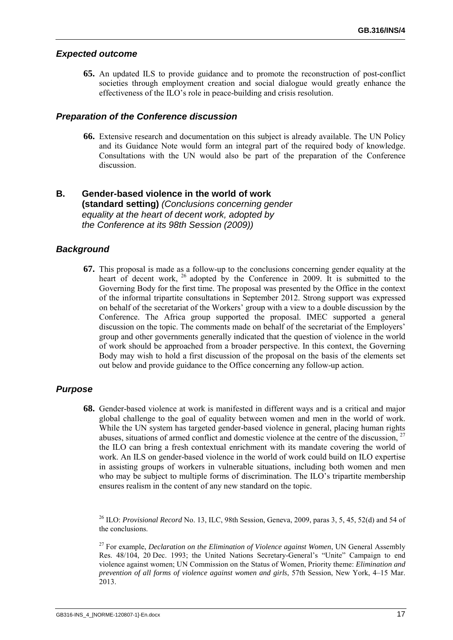#### *Expected outcome*

**65.** An updated ILS to provide guidance and to promote the reconstruction of post-conflict societies through employment creation and social dialogue would greatly enhance the effectiveness of the ILO's role in peace-building and crisis resolution.

#### *Preparation of the Conference discussion*

**66.** Extensive research and documentation on this subject is already available. The UN Policy and its Guidance Note would form an integral part of the required body of knowledge. Consultations with the UN would also be part of the preparation of the Conference discussion.

#### **B. Gender-based violence in the world of work (standard setting)** *(Conclusions concerning gender equality at the heart of decent work, adopted by the Conference at its 98th Session (2009))*

#### *Background*

**67.** This proposal is made as a follow-up to the conclusions concerning gender equality at the heart of decent work, <sup>26</sup> adopted by the Conference in 2009. It is submitted to the Governing Body for the first time. The proposal was presented by the Office in the context of the informal tripartite consultations in September 2012. Strong support was expressed on behalf of the secretariat of the Workers' group with a view to a double discussion by the Conference. The Africa group supported the proposal. IMEC supported a general discussion on the topic. The comments made on behalf of the secretariat of the Employers' group and other governments generally indicated that the question of violence in the world of work should be approached from a broader perspective. In this context, the Governing Body may wish to hold a first discussion of the proposal on the basis of the elements set out below and provide guidance to the Office concerning any follow-up action.

#### *Purpose*

**68.** Gender-based violence at work is manifested in different ways and is a critical and major global challenge to the goal of equality between women and men in the world of work. While the UN system has targeted gender-based violence in general, placing human rights abuses, situations of armed conflict and domestic violence at the centre of the discussion.<sup>27</sup> the ILO can bring a fresh contextual enrichment with its mandate covering the world of work. An ILS on gender-based violence in the world of work could build on ILO expertise in assisting groups of workers in vulnerable situations, including both women and men who may be subject to multiple forms of discrimination. The ILO's tripartite membership ensures realism in the content of any new standard on the topic.

26 ILO: *Provisional Record* No. 13, ILC, 98th Session, Geneva, 2009, paras 3, 5, 45, 52(d) and 54 of the conclusions.

27 For example, *Declaration on the Elimination of Violence against Women*, UN General Assembly Res. 48/104, 20 Dec. 1993; the United Nations Secretary-General's "Unite" Campaign to end violence against women; UN Commission on the Status of Women, Priority theme: *Elimination and prevention of all forms of violence against women and girls*, 57th Session, New York, 4–15 Mar. 2013.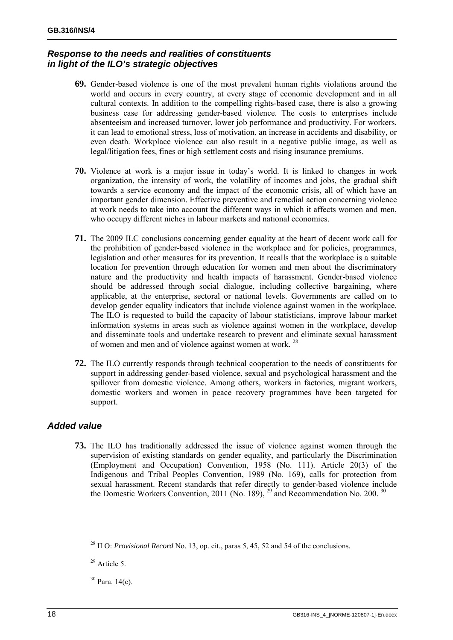### *Response to the needs and realities of constituents in light of the ILO's strategic objectives*

- **69.** Gender-based violence is one of the most prevalent human rights violations around the world and occurs in every country, at every stage of economic development and in all cultural contexts. In addition to the compelling rights-based case, there is also a growing business case for addressing gender-based violence. The costs to enterprises include absenteeism and increased turnover, lower job performance and productivity. For workers, it can lead to emotional stress, loss of motivation, an increase in accidents and disability, or even death. Workplace violence can also result in a negative public image, as well as legal/litigation fees, fines or high settlement costs and rising insurance premiums.
- **70.** Violence at work is a major issue in today's world. It is linked to changes in work organization, the intensity of work, the volatility of incomes and jobs, the gradual shift towards a service economy and the impact of the economic crisis, all of which have an important gender dimension. Effective preventive and remedial action concerning violence at work needs to take into account the different ways in which it affects women and men, who occupy different niches in labour markets and national economies.
- **71.** The 2009 ILC conclusions concerning gender equality at the heart of decent work call for the prohibition of gender-based violence in the workplace and for policies, programmes, legislation and other measures for its prevention. It recalls that the workplace is a suitable location for prevention through education for women and men about the discriminatory nature and the productivity and health impacts of harassment. Gender-based violence should be addressed through social dialogue, including collective bargaining, where applicable, at the enterprise, sectoral or national levels. Governments are called on to develop gender equality indicators that include violence against women in the workplace. The ILO is requested to build the capacity of labour statisticians, improve labour market information systems in areas such as violence against women in the workplace, develop and disseminate tools and undertake research to prevent and eliminate sexual harassment of women and men and of violence against women at work.<sup>28</sup>
- **72.** The ILO currently responds through technical cooperation to the needs of constituents for support in addressing gender-based violence, sexual and psychological harassment and the spillover from domestic violence. Among others, workers in factories, migrant workers, domestic workers and women in peace recovery programmes have been targeted for support.

# *Added value*

**73.** The ILO has traditionally addressed the issue of violence against women through the supervision of existing standards on gender equality, and particularly the Discrimination (Employment and Occupation) Convention, 1958 (No. 111). Article 20(3) of the Indigenous and Tribal Peoples Convention, 1989 (No. 169), calls for protection from sexual harassment. Recent standards that refer directly to gender-based violence include the Domestic Workers Convention, 2011 (No. 189),  $^{29}$  and Recommendation No. 200.  $^{30}$ 

30 Para. 14(c).

<sup>28</sup> ILO: *Provisional Record* No. 13, op. cit., paras 5, 45, 52 and 54 of the conclusions.

 $29$  Article 5.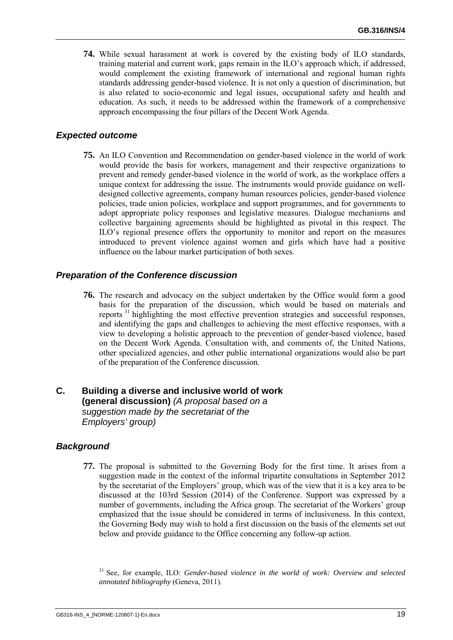**74.** While sexual harassment at work is covered by the existing body of ILO standards, training material and current work, gaps remain in the ILO's approach which, if addressed, would complement the existing framework of international and regional human rights standards addressing gender-based violence. It is not only a question of discrimination, but is also related to socio-economic and legal issues, occupational safety and health and education. As such, it needs to be addressed within the framework of a comprehensive approach encompassing the four pillars of the Decent Work Agenda.

#### *Expected outcome*

**75.** An ILO Convention and Recommendation on gender-based violence in the world of work would provide the basis for workers, management and their respective organizations to prevent and remedy gender-based violence in the world of work, as the workplace offers a unique context for addressing the issue. The instruments would provide guidance on welldesigned collective agreements, company human resources policies, gender-based violence policies, trade union policies, workplace and support programmes, and for governments to adopt appropriate policy responses and legislative measures. Dialogue mechanisms and collective bargaining agreements should be highlighted as pivotal in this respect. The ILO's regional presence offers the opportunity to monitor and report on the measures introduced to prevent violence against women and girls which have had a positive influence on the labour market participation of both sexes.

#### *Preparation of the Conference discussion*

**76.** The research and advocacy on the subject undertaken by the Office would form a good basis for the preparation of the discussion, which would be based on materials and reports 31 highlighting the most effective prevention strategies and successful responses, and identifying the gaps and challenges to achieving the most effective responses, with a view to developing a holistic approach to the prevention of gender-based violence, based on the Decent Work Agenda. Consultation with, and comments of, the United Nations, other specialized agencies, and other public international organizations would also be part of the preparation of the Conference discussion.

### **C. Building a diverse and inclusive world of work (general discussion)** *(A proposal based on a suggestion made by the secretariat of the Employers' group)*

#### *Background*

**77.** The proposal is submitted to the Governing Body for the first time. It arises from a suggestion made in the context of the informal tripartite consultations in September 2012 by the secretariat of the Employers' group, which was of the view that it is a key area to be discussed at the 103rd Session (2014) of the Conference. Support was expressed by a number of governments, including the Africa group. The secretariat of the Workers' group emphasized that the issue should be considered in terms of inclusiveness. In this context, the Governing Body may wish to hold a first discussion on the basis of the elements set out below and provide guidance to the Office concerning any follow-up action.

31 See, for example, ILO: *Gender-based violence in the world of work: Overview and selected annotated bibliography* (Geneva, 2011).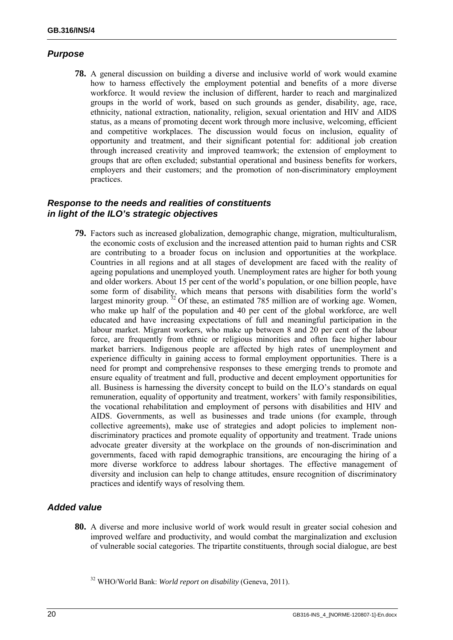### *Purpose*

**78.** A general discussion on building a diverse and inclusive world of work would examine how to harness effectively the employment potential and benefits of a more diverse workforce. It would review the inclusion of different, harder to reach and marginalized groups in the world of work, based on such grounds as gender, disability, age, race, ethnicity, national extraction, nationality, religion, sexual orientation and HIV and AIDS status, as a means of promoting decent work through more inclusive, welcoming, efficient and competitive workplaces. The discussion would focus on inclusion, equality of opportunity and treatment, and their significant potential for: additional job creation through increased creativity and improved teamwork; the extension of employment to groups that are often excluded; substantial operational and business benefits for workers, employers and their customers; and the promotion of non-discriminatory employment practices.

#### *Response to the needs and realities of constituents in light of the ILO's strategic objectives*

**79.** Factors such as increased globalization, demographic change, migration, multiculturalism, the economic costs of exclusion and the increased attention paid to human rights and CSR are contributing to a broader focus on inclusion and opportunities at the workplace. Countries in all regions and at all stages of development are faced with the reality of ageing populations and unemployed youth. Unemployment rates are higher for both young and older workers. About 15 per cent of the world's population, or one billion people, have some form of disability, which means that persons with disabilities form the world's largest minority group.  $32$  Of these, an estimated 785 million are of working age. Women, who make up half of the population and 40 per cent of the global workforce, are well educated and have increasing expectations of full and meaningful participation in the labour market. Migrant workers, who make up between 8 and 20 per cent of the labour force, are frequently from ethnic or religious minorities and often face higher labour market barriers. Indigenous people are affected by high rates of unemployment and experience difficulty in gaining access to formal employment opportunities. There is a need for prompt and comprehensive responses to these emerging trends to promote and ensure equality of treatment and full, productive and decent employment opportunities for all. Business is harnessing the diversity concept to build on the ILO's standards on equal remuneration, equality of opportunity and treatment, workers' with family responsibilities, the vocational rehabilitation and employment of persons with disabilities and HIV and AIDS. Governments, as well as businesses and trade unions (for example, through collective agreements), make use of strategies and adopt policies to implement nondiscriminatory practices and promote equality of opportunity and treatment. Trade unions advocate greater diversity at the workplace on the grounds of non-discrimination and governments, faced with rapid demographic transitions, are encouraging the hiring of a more diverse workforce to address labour shortages. The effective management of diversity and inclusion can help to change attitudes, ensure recognition of discriminatory practices and identify ways of resolving them.

#### *Added value*

**80.** A diverse and more inclusive world of work would result in greater social cohesion and improved welfare and productivity, and would combat the marginalization and exclusion of vulnerable social categories. The tripartite constituents, through social dialogue, are best

<sup>32</sup> WHO/World Bank: *World report on disability* (Geneva, 2011).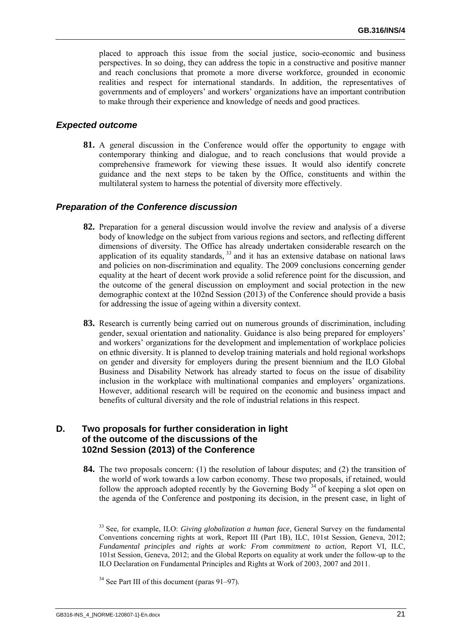placed to approach this issue from the social justice, socio-economic and business perspectives. In so doing, they can address the topic in a constructive and positive manner and reach conclusions that promote a more diverse workforce, grounded in economic realities and respect for international standards. In addition, the representatives of governments and of employers' and workers' organizations have an important contribution to make through their experience and knowledge of needs and good practices.

#### *Expected outcome*

**81.** A general discussion in the Conference would offer the opportunity to engage with contemporary thinking and dialogue, and to reach conclusions that would provide a comprehensive framework for viewing these issues. It would also identify concrete guidance and the next steps to be taken by the Office, constituents and within the multilateral system to harness the potential of diversity more effectively.

#### *Preparation of the Conference discussion*

- **82.** Preparation for a general discussion would involve the review and analysis of a diverse body of knowledge on the subject from various regions and sectors, and reflecting different dimensions of diversity. The Office has already undertaken considerable research on the application of its equality standards,  $33$  and it has an extensive database on national laws and policies on non-discrimination and equality. The 2009 conclusions concerning gender equality at the heart of decent work provide a solid reference point for the discussion, and the outcome of the general discussion on employment and social protection in the new demographic context at the 102nd Session (2013) of the Conference should provide a basis for addressing the issue of ageing within a diversity context.
- **83.** Research is currently being carried out on numerous grounds of discrimination, including gender, sexual orientation and nationality. Guidance is also being prepared for employers' and workers' organizations for the development and implementation of workplace policies on ethnic diversity. It is planned to develop training materials and hold regional workshops on gender and diversity for employers during the present biennium and the ILO Global Business and Disability Network has already started to focus on the issue of disability inclusion in the workplace with multinational companies and employers' organizations. However, additional research will be required on the economic and business impact and benefits of cultural diversity and the role of industrial relations in this respect.

#### **D. Two proposals for further consideration in light of the outcome of the discussions of the 102nd Session (2013) of the Conference**

**84.** The two proposals concern: (1) the resolution of labour disputes; and (2) the transition of the world of work towards a low carbon economy. These two proposals, if retained, would follow the approach adopted recently by the Governing Body<sup>34</sup> of keeping a slot open on the agenda of the Conference and postponing its decision, in the present case, in light of

<sup>33</sup> See, for example, ILO: *Giving globalization a human face*, General Survey on the fundamental Conventions concerning rights at work, Report III (Part 1B), ILC, 101st Session, Geneva, 2012; *Fundamental principles and rights at work: From commitment to action*, Report VI, ILC, 101st Session, Geneva, 2012; and the Global Reports on equality at work under the follow-up to the ILO Declaration on Fundamental Principles and Rights at Work of 2003, 2007 and 2011.

 $34$  See Part III of this document (paras 91–97).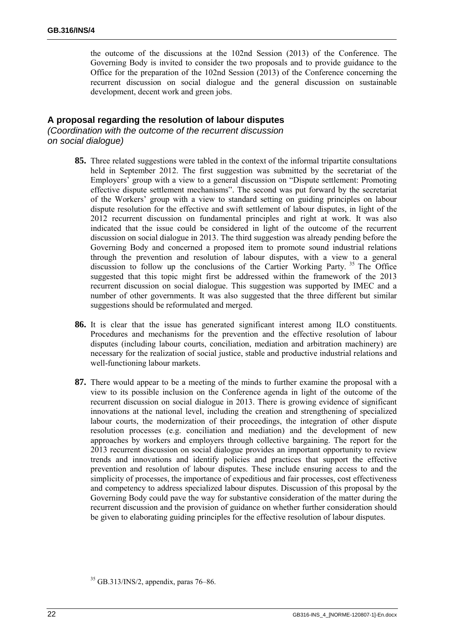the outcome of the discussions at the 102nd Session (2013) of the Conference. The Governing Body is invited to consider the two proposals and to provide guidance to the Office for the preparation of the 102nd Session (2013) of the Conference concerning the recurrent discussion on social dialogue and the general discussion on sustainable development, decent work and green jobs.

#### **A proposal regarding the resolution of labour disputes**

*(Coordination with the outcome of the recurrent discussion on social dialogue)*

- **85.** Three related suggestions were tabled in the context of the informal tripartite consultations held in September 2012. The first suggestion was submitted by the secretariat of the Employers' group with a view to a general discussion on "Dispute settlement: Promoting effective dispute settlement mechanisms". The second was put forward by the secretariat of the Workers' group with a view to standard setting on guiding principles on labour dispute resolution for the effective and swift settlement of labour disputes, in light of the 2012 recurrent discussion on fundamental principles and right at work. It was also indicated that the issue could be considered in light of the outcome of the recurrent discussion on social dialogue in 2013. The third suggestion was already pending before the Governing Body and concerned a proposed item to promote sound industrial relations through the prevention and resolution of labour disputes, with a view to a general discussion to follow up the conclusions of the Cartier Working Party.<sup>35</sup> The Office suggested that this topic might first be addressed within the framework of the 2013 recurrent discussion on social dialogue. This suggestion was supported by IMEC and a number of other governments. It was also suggested that the three different but similar suggestions should be reformulated and merged.
- **86.** It is clear that the issue has generated significant interest among ILO constituents. Procedures and mechanisms for the prevention and the effective resolution of labour disputes (including labour courts, conciliation, mediation and arbitration machinery) are necessary for the realization of social justice, stable and productive industrial relations and well-functioning labour markets.
- **87.** There would appear to be a meeting of the minds to further examine the proposal with a view to its possible inclusion on the Conference agenda in light of the outcome of the recurrent discussion on social dialogue in 2013. There is growing evidence of significant innovations at the national level, including the creation and strengthening of specialized labour courts, the modernization of their proceedings, the integration of other dispute resolution processes (e.g. conciliation and mediation) and the development of new approaches by workers and employers through collective bargaining. The report for the 2013 recurrent discussion on social dialogue provides an important opportunity to review trends and innovations and identify policies and practices that support the effective prevention and resolution of labour disputes. These include ensuring access to and the simplicity of processes, the importance of expeditious and fair processes, cost effectiveness and competency to address specialized labour disputes. Discussion of this proposal by the Governing Body could pave the way for substantive consideration of the matter during the recurrent discussion and the provision of guidance on whether further consideration should be given to elaborating guiding principles for the effective resolution of labour disputes.

 $35$  GB.313/INS/2, appendix, paras 76–86.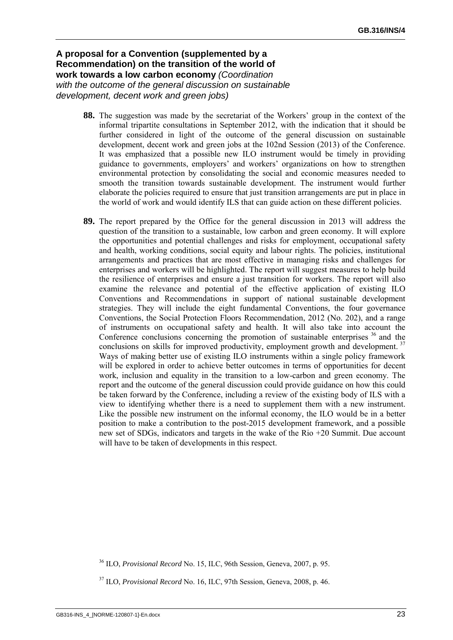#### **A proposal for a Convention (supplemented by a Recommendation) on the transition of the world of work towards a low carbon economy** *(Coordination with the outcome of the general discussion on sustainable development, decent work and green jobs)*

- **88.** The suggestion was made by the secretariat of the Workers' group in the context of the informal tripartite consultations in September 2012, with the indication that it should be further considered in light of the outcome of the general discussion on sustainable development, decent work and green jobs at the 102nd Session (2013) of the Conference. It was emphasized that a possible new ILO instrument would be timely in providing guidance to governments, employers' and workers' organizations on how to strengthen environmental protection by consolidating the social and economic measures needed to smooth the transition towards sustainable development. The instrument would further elaborate the policies required to ensure that just transition arrangements are put in place in the world of work and would identify ILS that can guide action on these different policies.
- **89.** The report prepared by the Office for the general discussion in 2013 will address the question of the transition to a sustainable, low carbon and green economy. It will explore the opportunities and potential challenges and risks for employment, occupational safety and health, working conditions, social equity and labour rights. The policies, institutional arrangements and practices that are most effective in managing risks and challenges for enterprises and workers will be highlighted. The report will suggest measures to help build the resilience of enterprises and ensure a just transition for workers. The report will also examine the relevance and potential of the effective application of existing ILO Conventions and Recommendations in support of national sustainable development strategies. They will include the eight fundamental Conventions, the four governance Conventions, the Social Protection Floors Recommendation, 2012 (No. 202), and a range of instruments on occupational safety and health. It will also take into account the Conference conclusions concerning the promotion of sustainable enterprises  $36$  and the conclusions on skills for improved productivity, employment growth and development.<sup>37</sup> Ways of making better use of existing ILO instruments within a single policy framework will be explored in order to achieve better outcomes in terms of opportunities for decent work, inclusion and equality in the transition to a low-carbon and green economy. The report and the outcome of the general discussion could provide guidance on how this could be taken forward by the Conference, including a review of the existing body of ILS with a view to identifying whether there is a need to supplement them with a new instrument. Like the possible new instrument on the informal economy, the ILO would be in a better position to make a contribution to the post-2015 development framework, and a possible new set of SDGs, indicators and targets in the wake of the Rio +20 Summit. Due account will have to be taken of developments in this respect.

<sup>36</sup> ILO, *Provisional Record* No. 15, ILC, 96th Session, Geneva, 2007, p. 95.

<sup>37</sup> ILO, *Provisional Record* No. 16, ILC, 97th Session, Geneva, 2008, p. 46.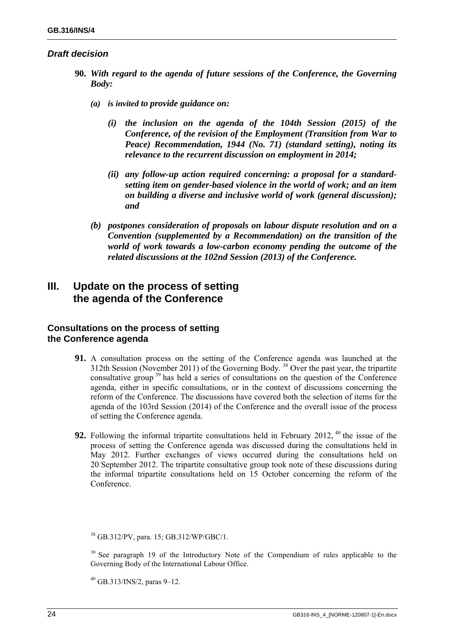#### *Draft decision*

- **90.** *With regard to the agenda of future sessions of the Conference, the Governing Body:* 
	- *(a) is invited to provide guidance on:* 
		- *(i) the inclusion on the agenda of the 104th Session (2015) of the Conference, of the revision of the Employment (Transition from War to Peace) Recommendation, 1944 (No. 71) (standard setting), noting its relevance to the recurrent discussion on employment in 2014;*
		- *(ii) any follow-up action required concerning: a proposal for a standardsetting item on gender-based violence in the world of work; and an item on building a diverse and inclusive world of work (general discussion); and*
	- *(b) postpones consideration of proposals on labour dispute resolution and on a Convention (supplemented by a Recommendation) on the transition of the world of work towards a low-carbon economy pending the outcome of the related discussions at the 102nd Session (2013) of the Conference.*

# **III. Update on the process of setting the agenda of the Conference**

#### **Consultations on the process of setting the Conference agenda**

- **91.** A consultation process on the setting of the Conference agenda was launched at the 312th Session (November 2011) of the Governing Body. 38 Over the past year, the tripartite consultative group<sup>39</sup> has held a series of consultations on the question of the Conference agenda, either in specific consultations, or in the context of discussions concerning the reform of the Conference. The discussions have covered both the selection of items for the agenda of the 103rd Session (2014) of the Conference and the overall issue of the process of setting the Conference agenda.
- **92.** Following the informal tripartite consultations held in February 2012, <sup>40</sup> the issue of the process of setting the Conference agenda was discussed during the consultations held in May 2012. Further exchanges of views occurred during the consultations held on 20 September 2012. The tripartite consultative group took note of these discussions during the informal tripartite consultations held on 15 October concerning the reform of the Conference.

38 GB.312/PV, para. 15; GB.312/WP/GBC/1.

<sup>39</sup> See paragraph 19 of the Introductory Note of the Compendium of rules applicable to the Governing Body of the International Labour Office.

 $40$  GB.313/INS/2, paras 9–12.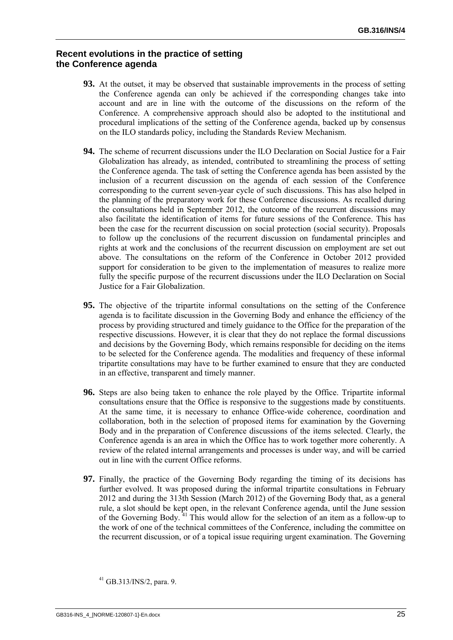#### **Recent evolutions in the practice of setting the Conference agenda**

- **93.** At the outset, it may be observed that sustainable improvements in the process of setting the Conference agenda can only be achieved if the corresponding changes take into account and are in line with the outcome of the discussions on the reform of the Conference. A comprehensive approach should also be adopted to the institutional and procedural implications of the setting of the Conference agenda, backed up by consensus on the ILO standards policy, including the Standards Review Mechanism.
- **94.** The scheme of recurrent discussions under the ILO Declaration on Social Justice for a Fair Globalization has already, as intended, contributed to streamlining the process of setting the Conference agenda. The task of setting the Conference agenda has been assisted by the inclusion of a recurrent discussion on the agenda of each session of the Conference corresponding to the current seven-year cycle of such discussions. This has also helped in the planning of the preparatory work for these Conference discussions. As recalled during the consultations held in September 2012, the outcome of the recurrent discussions may also facilitate the identification of items for future sessions of the Conference. This has been the case for the recurrent discussion on social protection (social security). Proposals to follow up the conclusions of the recurrent discussion on fundamental principles and rights at work and the conclusions of the recurrent discussion on employment are set out above. The consultations on the reform of the Conference in October 2012 provided support for consideration to be given to the implementation of measures to realize more fully the specific purpose of the recurrent discussions under the ILO Declaration on Social Justice for a Fair Globalization.
- **95.** The objective of the tripartite informal consultations on the setting of the Conference agenda is to facilitate discussion in the Governing Body and enhance the efficiency of the process by providing structured and timely guidance to the Office for the preparation of the respective discussions. However, it is clear that they do not replace the formal discussions and decisions by the Governing Body, which remains responsible for deciding on the items to be selected for the Conference agenda. The modalities and frequency of these informal tripartite consultations may have to be further examined to ensure that they are conducted in an effective, transparent and timely manner.
- **96.** Steps are also being taken to enhance the role played by the Office. Tripartite informal consultations ensure that the Office is responsive to the suggestions made by constituents. At the same time, it is necessary to enhance Office-wide coherence, coordination and collaboration, both in the selection of proposed items for examination by the Governing Body and in the preparation of Conference discussions of the items selected. Clearly, the Conference agenda is an area in which the Office has to work together more coherently. A review of the related internal arrangements and processes is under way, and will be carried out in line with the current Office reforms.
- **97.** Finally, the practice of the Governing Body regarding the timing of its decisions has further evolved. It was proposed during the informal tripartite consultations in February 2012 and during the 313th Session (March 2012) of the Governing Body that, as a general rule, a slot should be kept open, in the relevant Conference agenda, until the June session of the Governing Body.  $41$  This would allow for the selection of an item as a follow-up to the work of one of the technical committees of the Conference, including the committee on the recurrent discussion, or of a topical issue requiring urgent examination. The Governing

<sup>41</sup> GB.313/INS/2, para. 9.